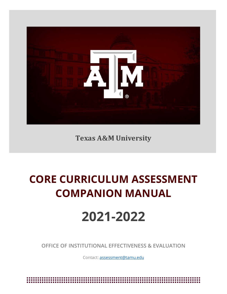

**Texas A&M University**

# **CORE CURRICULUM ASSESSMENT COMPANION MANUAL**

# **2021-2022**

**OFFICE OF INSTITUTIONAL EFFECTIVENESS & EVALUATION**

Contact[: assessment@tamu.edu](mailto:assessment@tamu.edu)

\*\*\*\*\*\*\*\*\*\*\*\*\*\*\*\*\*\*\*\*\*\*\*\*\*\*\*\*\*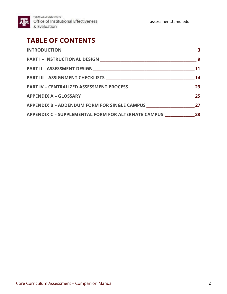![](_page_1_Picture_0.jpeg)

TEXAS A&M UNIVERSITY **AM** Office of Institutional Effectiveness & Evaluation

assessment.tamu.edu

# **TABLE OF CONTENTS**

|                                                                                   | 14 |
|-----------------------------------------------------------------------------------|----|
|                                                                                   |    |
|                                                                                   |    |
|                                                                                   |    |
| APPENDIX C - SUPPLEMENTAL FORM FOR ALTERNATE CAMPUS _____________________________ |    |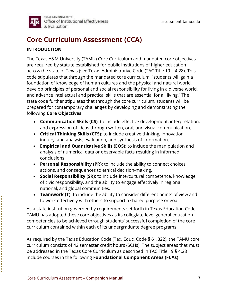![](_page_2_Picture_1.jpeg)

# **Core Curriculum Assessment (CCA)**

#### **INTRODUCTION**

The Texas A&M University (TAMU) Core Curriculum and mandated core objectives are required by statute established for public institutions of higher education across the state of Texas (see Texas Administrative Code (TAC Title 19 § 4.28). This code stipulates that through the mandated core curriculum, "students will gain a foundation of knowledge of human cultures and the physical and natural world, develop principles of personal and social responsibility for living in a diverse world, and advance intellectual and practical skills that are essential for all living." The state code further stipulates that through the core curriculum, students will be prepared for contemporary challenges by developing and demonstrating the following **Core Objectives**:

- **Communication Skills (CS)**: to include effective development, interpretation, and expression of ideas through written, oral, and visual communication.
- **Critical Thinking Skills (CTS)**: to include creative thinking, innovation, inquiry, and analysis, evaluation, and synthesis of information.
- **Empirical and Quantitative Skills (EQS)**: to include the manipulation and analysis of numerical data or observable facts resulting in informed conclusions.
- **Personal Responsibility (PR)**: to include the ability to connect choices, actions, and consequences to ethical decision-making.
- **Social Responsibility (SR)**: to include intercultural competence, knowledge of civic responsibility, and the ability to engage effectively in regional, national, and global communities.
- **Teamwork (T)**: to include the ability to consider different points of view and to work effectively with others to support a shared purpose or goal.

As a state institution governed by requirements set forth in Texas Education Code, TAMU has adopted these core objectives as its collegiate-level general education competencies to be achieved through students' successful completion of the core curriculum contained within each of its undergraduate degree programs.

As required by the Texas Education Code (Tex. Educ. Code § 61.822), the TAMU core curriculum consists of 42 semester credit hours (SCHs). The subject areas that must be addressed in the Texas Core Curriculum as described in TAC Title 19 § 4.28 include courses in the following **Foundational Component Areas (FCAs)**: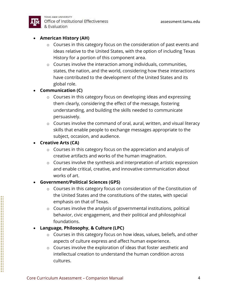![](_page_3_Picture_1.jpeg)

TEXAS A&M UNIVERSITY Office of Institutional Effectiveness & Evaluation

#### • **American History (AH)**

- o Courses in this category focus on the consideration of past events and ideas relative to the United States, with the option of including Texas History for a portion of this component area.
- o Courses involve the interaction among individuals, communities, states, the nation, and the world, considering how these interactions have contributed to the development of the United States and its global role.

#### • **Communication (C)**

- o Courses in this category focus on developing ideas and expressing them clearly, considering the effect of the message, fostering understanding, and building the skills needed to communicate persuasively.
- o Courses involve the command of oral, aural, written, and visual literacy skills that enable people to exchange messages appropriate to the subject, occasion, and audience.

#### • **Creative Arts (CA)**

- $\circ$  Courses in this category focus on the appreciation and analysis of creative artifacts and works of the human imagination.
- o Courses involve the synthesis and interpretation of artistic expression and enable critical, creative, and innovative communication about works of art.

#### • **Government/Political Sciences (GPS)**

- o Courses in this category focus on consideration of the Constitution of the United States and the constitutions of the states, with special emphasis on that of Texas.
- o Courses involve the analysis of governmental institutions, political behavior, civic engagement, and their political and philosophical foundations.

#### • **Language, Philosophy, & Culture (LPC)**

- o Courses in this category focus on how ideas, values, beliefs, and other aspects of culture express and affect human experience.
- o Courses involve the exploration of ideas that foster aesthetic and intellectual creation to understand the human condition across cultures.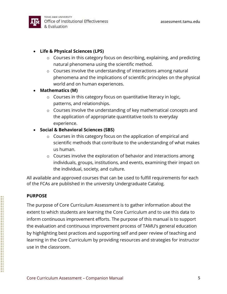![](_page_4_Picture_1.jpeg)

TEXAS A&M UNIVERSITY Office of Institutional Effectiveness & Evaluation

## • **Life & Physical Sciences (LPS)**

- o Courses in this category focus on describing, explaining, and predicting natural phenomena using the scientific method.
- o Courses involve the understanding of interactions among natural phenomena and the implications of scientific principles on the physical world and on human experiences.

#### • **Mathematics (M)**

- $\circ$  Courses in this category focus on quantitative literacy in logic, patterns, and relationships.
- o Courses involve the understanding of key mathematical concepts and the application of appropriate quantitative tools to everyday experience.

#### • **Social & Behavioral Sciences (SBS)**

- o Courses in this category focus on the application of empirical and scientific methods that contribute to the understanding of what makes us human.
- o Courses involve the exploration of behavior and interactions among individuals, groups, institutions, and events, examining their impact on the individual, society, and culture.

All available and approved courses that can be used to fulfill requirements for each of the FCAs are published in the university Undergraduate Catalog.

#### **PURPOSE**

The purpose of Core Curriculum Assessment is to gather information about the extent to which students are learning the Core Curriculum and to use this data to inform continuous improvement efforts. The purpose of this manual is to support the evaluation and continuous improvement process of TAMU's general education by highlighting best practices and supporting self and peer review of teaching and learning in the Core Curriculum by providing resources and strategies for instructor use in the classroom.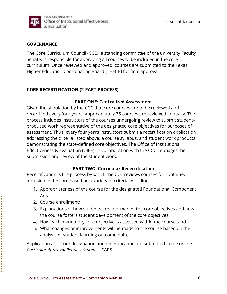![](_page_5_Picture_0.jpeg)

#### **GOVERNANCE**

The Core Curriculum Council (CCC), a standing committee of the university Faculty Senate, is responsible for approving all courses to be included in the core curriculum. Once reviewed and approved, courses are submitted to the Texas Higher Education Coordinating Board (THECB) for final approval.

#### **CORE RECERTIFICATION (2-PART PROCESS)**

#### **PART ONE: Centralized Assessment**

Given the stipulation by the CCC that core courses are to be reviewed and recertified every four years, approximately 75 courses are reviewed annually. The process includes instructors of the courses undergoing review to submit studentproduced work representative of the designated core objectives for purposes of assessment. Thus, every four years instructors submit a recertification application addressing the criteria listed above, a course syllabus, and student work products demonstrating the state-defined core objectives. The Office of Institutional Effectiveness & Evaluation (OIEE), in collaboration with the CCC, manages the submission and review of the student work.

#### **PART TWO: Curricular Recertification**

Recertification is the process by which the CCC reviews courses for continued inclusion in the core based on a variety of criteria including:

- 1. Appropriateness of the course for the designated Foundational Component Area;
- 2. Course enrollment;
- 3. Explanations of how students are informed of the core objectives and how the course fosters student development of the core objectives
- 4. How each mandatory core objective is assessed within the course, and
- 5. What changes or improvements will be made to the course based on the analysis of student learning outcome data.

Applications for Core designation and recertification are submitted in the online *Curricular Approval Request System* – CARS.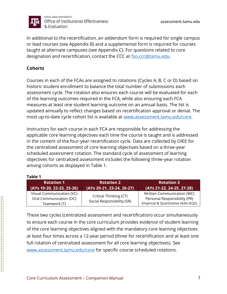![](_page_6_Picture_0.jpeg)

TEXAS A&M UNIVERSITY Office of Institutional Effectiveness & Evaluation

In additional to the recertification, an addendum form is required for single campus or lead courses (see Appendix B) and a supplemental form is required for courses taught at alternate campuses (see Appendix C). For questions related to core designation and recertification, contact the CCC at [fso-ccc@tamu.edu.](mailto:fso-ccc@tamu.edu)

### **Cohorts**

Courses in each of the FCAs are assigned to rotations (Cycles A, B, C or D) based on historic student enrollment to balance the total number of submissions each assessment cycle. The rotation also ensures each course will be evaluated for each of the learning outcomes required in the FCA, while also ensuring each FCA measures at least one student learning outcome on an annual basis. The list is updated annually to reflect changes based on recertification approval or denial. The most up-to-date cycle cohort list is available at [www.assessment.tamu.edu/core.](http://www.assessment.tamu.edu/core)

Instructors for each course in each FCA are responsible for addressing the applicable core learning objectives each time the course is taught and is addressed in the content of the four-year recertification cycle. Data are collected by OIEE for the centralized assessment of core learning objectives based on a three-year scheduled assessment rotation. The standard cycle of assessment of learning objectives for centralized assessment includes the following three-year rotation among cohorts as displayed in Table 1.

#### **Table 1**

| <b>Rotation 1</b>                                                    | <b>Rotation 2</b>                                    | <b>Rotation 3</b>                                                                                   |
|----------------------------------------------------------------------|------------------------------------------------------|-----------------------------------------------------------------------------------------------------|
| $(AYs 19-20, 22-23, 25-26)$                                          | (AYs 20-21, 23-24, 26-27)                            | (AYs 21-22, 24-25, 27-28)                                                                           |
| Visual Communication (VC)<br>Oral Communication (OC)<br>Teamwork (T) | Critical Thinking (CT)<br>Social Responsibility (SR) | Written Communication (WC)<br>Personal Responsibility (PR)<br>Empirical & Quantitative Skills (EQS) |

These two cycles (centralized assessment and recertification) occur simultaneously to ensure each course in the core curriculum provides evidence of student learning of the core learning objectives aligned with the mandatory core learning objectives at least four times across a 12-year period (three for recertification and at least one full rotation of centralized assessment for all core learning objectives). See [www.assessment.tamu.edu/](http://www.assessment.tamu.edu/)core for specific course scheduled rotations.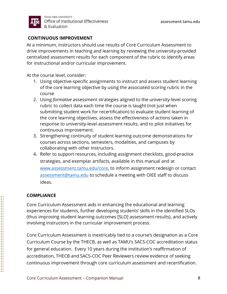![](_page_7_Picture_1.jpeg)

#### **CONTINUOUS IMPROVEMENT**

At a minimum, instructors should use results of Core Curriculum Assessment to drive improvements in teaching and learning by reviewing the university-provided centralized assessment results for each component of the rubric to identify areas for instructional and/or curricular improvement.

At the course level, consider:

- 1. Using objective-specific assignments to instruct and assess student learning of the core learning objective by using the associated scoring rubric in the course
- 2. Using *formative* assessment strategies aligned to the university-level scoring rubric to collect data each time the course is taught (not just when submitting student work for recertification) to evaluate student learning of the core learning objectives, assess the effectiveness of actions taken in response to university-level assessment results, and to pilot initiatives for continuous improvement.
- 3. Strengthening continuity of student learning outcome demonstrations for courses across sections, semesters, modalities, and campuses by collaborating with other instructors.
- 4. Refer to support resources, including assignment checklists, good-practice strategies, and exemplar artifacts, available in this manual and at [www.assessment.tamu.edu/core,](http://www.assessment.tamu.edu/core) to inform assignment redesign or contact [assessment@tamu.edu](mailto:assessment@tamu.edu) to schedule a meeting with OIEE staff to discuss ideas.

#### **COMPLIANCE**

Core Curriculum Assessment aids in enhancing the educational and learning experiences for students, further developing students' skills in the identified SLOs (thus improving student learning outcomes [SLO] assessment results), and actively involving instructors in the curricular improvement process.

Core Curriculum Assessment is inextricably tied to a course's designation as a Core Curriculum Course by the THECB, as well as TAMU's SACS-COC accreditation status for general education. Every 10 years during the institution's reaffirmation of accreditation, THECB and SACS-COC Peer Reviewers review evidence of seeking continuous improvement through core curriculum assessment and recertification.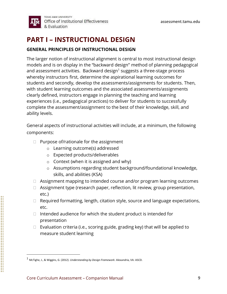![](_page_8_Picture_1.jpeg)

# **PART I – INSTRUCTIONAL DESIGN**

#### **GENERAL PRINCIPLES OF INSTRUCTIONAL DESIGN**

The larger notion of instructional alignment is central to most instructional design models and is on display in the "backward design" method of planning pedagogical and assessment activities. Backward design<sup>1</sup> suggests a three-stage process whereby instructors first, determine the aspirational learning outcomes for students and secondly, develop the assessments/assignments for students. Then, with student learning outcomes and the associated assessments/assignments clearly defined, instructors engage in planning the teaching and learning experiences (i.e., pedagogical practices) to deliver for students to successfully complete the assessment/assignment to the best of their knowledge, skill, and ability levels.

General aspects of instructional activities will include, at a minimum, the following components:

- Purpose of/rationale for the assignment
	- o Learning outcome(s) addressed
	- o Expected products/deliverables
	- $\circ$  Context (when it is assigned and why)
	- o Assumptions regarding student background/foundational knowledge, skills, and abilities (KSA)
- Assignment mapping to intended course and/or program learning outcomes
- Assignment type (research paper, reflection, lit review, group presentation, etc.)
- Required formatting, length, citation style, source and language expectations, etc.
- Intended audience for which the student product is intended for presentation
- Evaluation criteria (i.e., scoring guide, grading key) that will be applied to measure student learning

<sup>1</sup> McTighe, J., & Wiggins, G. (2012). *Understanding by Design Framework*. Alexandria, VA: ASCD.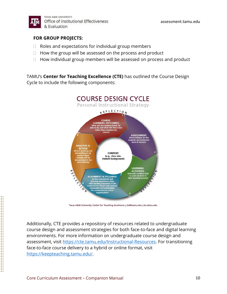![](_page_9_Picture_0.jpeg)

assessment.tamu.edu

#### **FOR GROUP PROJECTS:**

- Roles and expectations for individual group members
- How the group will be assessed on the process and product
- How individual group members will be assessed on process and product

TAMU's **Center for Teaching Excellence (CTE)** has outlined the Course Design Cycle to include the following components:

![](_page_9_Figure_7.jpeg)

Texas A&M University Center for Teaching Excellence | cte@tamu.edu | cte.tamu.edu

Additionally, CTE provides a repository of resources related to undergraduate course design and assessment strategies for both face-to-face and digital learning environments. For more information on undergraduate course design and assessment, visit [https://cte.tamu.edu/Instructional-Resources.](https://cte.tamu.edu/Instructional-Resources) For transitioning face-to-face course delivery to a hybrid or online format, visit [https://keepteaching.tamu.edu/.](https://keepteaching.tamu.edu/)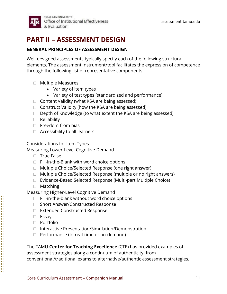![](_page_10_Picture_1.jpeg)

# **PART II – ASSESSMENT DESIGN**

#### **GENERAL PRINCIPLES OF ASSESSMENT DESIGN**

Well-designed assessments typically specify each of the following structural elements. The assessment instrument/tool facilitates the expression of competence through the following list of representative components.

- Multiple Measures
	- Variety of item types
	- Variety of test types (standardized and performance)
- Content Validity (what KSA are being assessed)
- Construct Validity (how the KSA are being assessed)
- Depth of Knowledge (to what extent the KSA are being assessed)
- Reliability
- Freedom from bias
- Accessibility to all learners

#### Considerations for Item Types

Measuring Lower-Level Cognitive Demand

- True False
- Fill-in-the-Blank with word choice options
- Multiple Choice/Selected Response (one right answer)
- Multiple Choice/Selected Response (multiple or no right answers)
- Evidence-Based Selected Response (Multi-part Multiple Choice)
- Matching

Measuring Higher-Level Cognitive Demand

- Fill-in-the-blank without word choice options
- Short Answer/Constructed Response
- Extended Constructed Response
- Essay
- Portfolio
- Interactive Presentation/Simulation/Demonstration
- Performance (In-real-time or on-demand)

The TAMU **Center for Teaching Excellence** (CTE) has provided examples of assessment strategies along a continuum of authenticity, from conventional/traditional exams to alternative/authentic assessment strategies.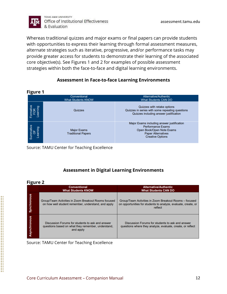![](_page_11_Picture_0.jpeg)

Whereas traditional quizzes and major exams or final papers can provide students with opportunities to express their learning through formal assessment measures, alternate strategies such as iterative, progressive, and/or performance tasks may provide greater access for students to demonstrate their learning of the associated core objective(s). See Figures 1 and 2 for examples of possible assessment strategies within both the face-to-face and digital learning environments.

#### **Assessment in Face-to-face Learning Environments**

| <b>Figure 1</b>             |                                                 |                                                                                                                                                             |
|-----------------------------|-------------------------------------------------|-------------------------------------------------------------------------------------------------------------------------------------------------------------|
|                             | Conventional<br><b>What Students KNOW</b>       | Alternative/Authentic<br><b>What Students CAN DO</b>                                                                                                        |
|                             | Quizzes                                         | Quizzes with retake options<br>Quizzes in series with some repeating questions<br>Quizzes including answer justification                                    |
| Summative<br>OF<br>Learning | <b>Major Exams</b><br><b>Traditional Papers</b> | Major Exams including answer justification<br><b>Performance Exams</b><br>Open Book/Open Note Exams<br><b>Paper Alternatives</b><br><b>Creative Options</b> |

Source: TAMU Center for Teaching Excellence

## **Assessment in Digital Learning Environments**

#### **Figure 2**

| - - - - -    | <b>Conventional</b><br><b>What Students KNOW</b>                                                                    | <b>Alternative/Authentic</b><br><b>What Students CAN DO</b>                                                                         |
|--------------|---------------------------------------------------------------------------------------------------------------------|-------------------------------------------------------------------------------------------------------------------------------------|
| Synchronous  | Group/Team Activities in Zoom Breakout Rooms focused<br>on how well student remember, understand, and apply         | Group/Team Activities in Zoom Breakout Rooms - focused<br>on opportunities for students to analyze, evaluate, create, or<br>reflect |
| Asynchronous | Discussion Forums for students to ask and answer<br>questions based on what they remember, understand,<br>and apply | Discussion Forums for students to ask and answer<br>questions where they analyze, evaluate, create, or reflect                      |

Source: TAMU Center for Teaching Excellence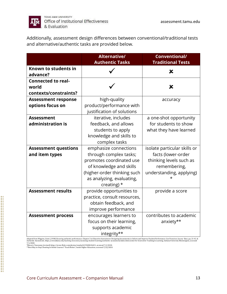![](_page_12_Picture_0.jpeg)

TEXAS A&M UNIVERSITY Office of Institutional Effectiveness & Evaluation

Additionally, assessment design differences between conventional/traditional tests and alternative/authentic tasks are provided below.

|                                                             | <b>Alternative/</b><br><b>Authentic Tasks</b>                                                                                                                                       | Conventional/<br><b>Traditional Tests</b>                                                                                      |
|-------------------------------------------------------------|-------------------------------------------------------------------------------------------------------------------------------------------------------------------------------------|--------------------------------------------------------------------------------------------------------------------------------|
| Known to students in<br>advance?                            |                                                                                                                                                                                     | X                                                                                                                              |
| <b>Connected to real-</b><br>world<br>contexts/constraints? |                                                                                                                                                                                     | X                                                                                                                              |
| <b>Assessment response</b><br>options focus on              | high-quality<br>product/performance with<br>justification of solutions                                                                                                              | accuracy                                                                                                                       |
| <b>Assessment</b><br>administration is                      | iterative, includes<br>feedback, and allows<br>students to apply<br>knowledge and skills to<br>complex tasks                                                                        | a one-shot opportunity<br>for students to show<br>what they have learned                                                       |
| <b>Assessment questions</b><br>and item types               | emphasize connections<br>through complex tasks;<br>promotes coordinated use<br>of knowledge and skills<br>(higher-order thinking such<br>as analyzing, evaluating,<br>creating) $*$ | isolate particular skills or<br>facts (lower-order<br>thinking levels such as<br>remembering,<br>understanding, applying)<br>* |
| <b>Assessment results</b>                                   | provide opportunities to<br>practice, consult resources,<br>obtain feedback, and<br>improve performance                                                                             | provide a score                                                                                                                |
| <b>Assessment process</b>                                   | encourages learners to<br>focus on their learning,<br>supports academic<br>integrity**                                                                                              | contributes to academic<br>anxiety**                                                                                           |

Adapted from Wiggins, Grant. (1998) Ensuring authentic performance. Chapter 2 in Educative Assessment: Designing Assessments to Inform and Improve Student Performance. San Francisco: Jossey- Bass, pp. 21-42. &<br>Authentic As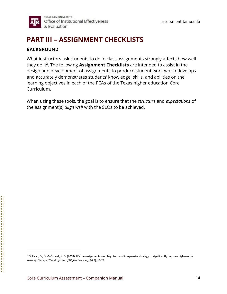# **PART III – ASSIGNMENT CHECKLISTS**

#### **BACKGROUND**

What instructors ask students to do in class assignments strongly affects how well they do it<sup>2</sup>. The following **Assignment Checklists** are intended to assist in the design and development of assignments to produce student work which develops and accurately demonstrates students' knowledge, skills, and abilities on the learning objectives in each of the FCAs of the Texas higher education Core Curriculum.

When using these tools, the goal is to ensure that the *structure* and *expectations* of the assignment(s) *align well* with the SLOs to be achieved.

<sup>2</sup> Sullivan, D., & McConnell, K. D. (2018). It's the assignments – A ubiquitous and inexpensive strategy to significantly improve higher-order learning. *Change: The Magazine of Higher Learning, 50*(5), 16-23.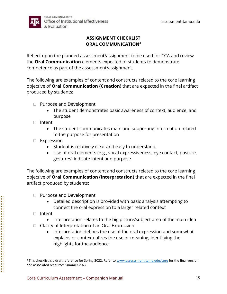![](_page_14_Picture_1.jpeg)

## **ASSIGNMENT CHECKLIST ORAL COMMUNICATION<sup>3</sup>**

Reflect upon the planned assessment/assignment to be used for CCA and review the **Oral Communication** elements expected of students to demonstrate competence as part of the assessment/assignment.

The following are examples of content and constructs related to the core learning objective of **Oral Communication (Creation)** that are expected in the final artifact produced by students:

- Purpose and Development
	- The student demonstrates basic awareness of context, audience, and purpose
- Intent
	- The student communicates main and supporting information related to the purpose for presentation
- Expression
	- Student is relatively clear and easy to understand.
	- Use of oral elements (e.g., vocal expressiveness, eye contact, posture, gestures) indicate intent and purpose

The following are examples of content and constructs related to the core learning objective of **Oral Communication (Interpretation)** that are expected in the final artifact produced by students:

- Purpose and Development
	- Detailed description is provided with basic analysis attempting to connect the oral expression to a larger related context
- Intent
	- Interpretation relates to the big picture/subject area of the main idea
- Clarity of Interpretation of an Oral Expression
	- Interpretation defines the use of the oral expression and somewhat explains or contextualizes the use or meaning, identifying the highlights for the audience

<sup>&</sup>lt;sup>3</sup> This checklist is a draft reference for Spring 2022. Refer to [www.assesssment.tamu.edu/](http://www.assesssment.tamu.edu/)core for the final version and associated resources Summer 2022.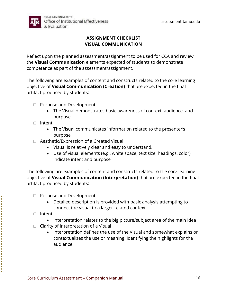![](_page_15_Picture_1.jpeg)

## **ASSIGNMENT CHECKLIST VISUAL COMMUNICATION**

Reflect upon the planned assessment/assignment to be used for CCA and review the **Visual Communication** elements expected of students to demonstrate competence as part of the assessment/assignment.

The following are examples of content and constructs related to the core learning objective of **Visual Communication (Creation)** that are expected in the final artifact produced by students:

- Purpose and Development
	- The Visual demonstrates basic awareness of context, audience, and purpose
- Intent
	- The Visual communicates information related to the presenter's purpose
- Aesthetic/Expression of a Created Visual
	- Visual is relatively clear and easy to understand.
	- Use of visual elements (e.g., white space, text size, headings, color) indicate intent and purpose

The following are examples of content and constructs related to the core learning objective of **Visual Communication (Interpretation)** that are expected in the final artifact produced by students:

- Purpose and Development
	- Detailed description is provided with basic analysis attempting to connect the visual to a larger related context
- Intent
	- Interpretation relates to the big picture/subject area of the main idea
- Clarity of Interpretation of a Visual
	- Interpretation defines the use of the Visual and somewhat explains or contextualizes the use or meaning, identifying the highlights for the audience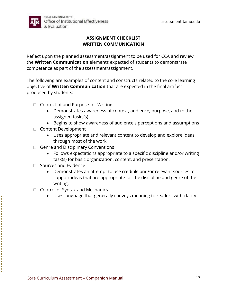![](_page_16_Picture_1.jpeg)

## **ASSIGNMENT CHECKLIST WRITTEN COMMUNICATION**

Reflect upon the planned assessment/assignment to be used for CCA and review the **Written Communication** elements expected of students to demonstrate competence as part of the assessment/assignment.

The following are examples of content and constructs related to the core learning objective of **Written Communication** that are expected in the final artifact produced by students:

- Context of and Purpose for Writing
	- Demonstrates awareness of context, audience, purpose, and to the assigned tasks(s)
	- Begins to show awareness of audience's perceptions and assumptions
- Content Development
	- Uses appropriate and relevant content to develop and explore ideas through most of the work
- Genre and Disciplinary Conventions
	- Follows expectations appropriate to a specific discipline and/or writing task(s) for basic organization, content, and presentation.
- Sources and Evidence
	- Demonstrates an attempt to use credible and/or relevant sources to support ideas that are appropriate for the discipline and genre of the writing.
- Control of Syntax and Mechanics
	- Uses language that generally conveys meaning to readers with clarity.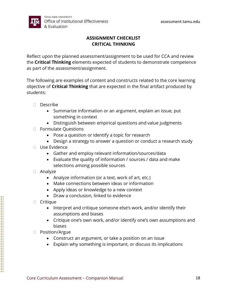![](_page_17_Picture_1.jpeg)

## **ASSIGNMENT CHECKLIST CRITICAL THINKING**

Reflect upon the planned assessment/assignment to be used for CCA and review the **Critical Thinking** elements expected of students to demonstrate competence as part of the assessment/assignment.

The following are examples of content and constructs related to the core learning objective of **Critical Thinking** that are expected in the final artifact produced by students:

- Describe
	- Summarize information or an argument, explain an issue, put something in context
	- Distinguish between empirical questions and value judgments
- Formulate Questions
	- Pose a question or identify a topic for research
	- Design a strategy to answer a question or conduct a research study
- Use Evidence
	- Gather and employ relevant information/sources/data
	- Evaluate the quality of information / sources / data and make selections among possible sources
- Analyze
	- Analyze information (or a text, work of art, etc.)
	- Make connections between ideas or information
	- Apply ideas or knowledge to a new context
	- Draw a conclusion, linked to evidence
- Critique
	- Interpret and critique someone else's work, and/or identify their assumptions and biases
	- Critique one's own work, and/or identify one's own assumptions and biases
- Position/Argue
	- Construct an argument, or take a position on an issue
	- Explain why something is important, or discuss its implications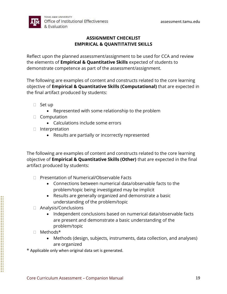![](_page_18_Picture_1.jpeg)

## **ASSIGNMENT CHECKLIST EMPIRICAL & QUANTITATIVE SKILLS**

Reflect upon the planned assessment/assignment to be used for CCA and review the elements of **Empirical & Quantitative Skills** expected of students to demonstrate competence as part of the assessment/assignment.

The following are examples of content and constructs related to the core learning objective of **Empirical & Quantitative Skills (Computational)** that are expected in the final artifact produced by students:

- Set up
	- Represented with some relationship to the problem
- Computation
	- Calculations include some errors
- Interpretation
	- Results are partially or incorrectly represented

The following are examples of content and constructs related to the core learning objective of **Empirical & Quantitative Skills (Other)** that are expected in the final artifact produced by students:

- Presentation of Numerical/Observable Facts
	- Connections between numerical data/observable facts to the problem/topic being investigated may be implicit
	- Results are generally organized and demonstrate a basic understanding of the problem/topic
- Analysis/Conclusions
	- Independent conclusions based on numerical data/observable facts are present and demonstrate a basic understanding of the problem/topic
- Methods\*
	- Methods (design, subjects, instruments, data collection, and analyses) are organized
- \* Applicable only when original data set is generated.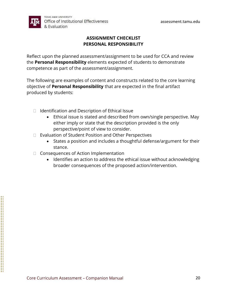![](_page_19_Picture_1.jpeg)

## **ASSIGNMENT CHECKLIST PERSONAL RESPONSIBILITY**

Reflect upon the planned assessment/assignment to be used for CCA and review the **Personal Responsibility** elements expected of students to demonstrate competence as part of the assessment/assignment.

The following are examples of content and constructs related to the core learning objective of **Personal Responsibility** that are expected in the final artifact produced by students:

- Identification and Description of Ethical Issue
	- Ethical issue is stated and described from own/single perspective. May either imply or state that the description provided is the only perspective/point of view to consider.
- Evaluation of Student Position and Other Perspectives
	- States a position and includes a thoughtful defense/argument for their stance.
- Consequences of Action Implementation
	- Identifies an action to address the ethical issue without acknowledging broader consequences of the proposed action/intervention.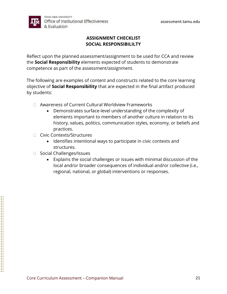![](_page_20_Picture_1.jpeg)

## **ASSIGNMENT CHECKLIST SOCIAL RESPONSIBILILTY**

Reflect upon the planned assessment/assignment to be used for CCA and review the **Social Responsibility** elements expected of students to demonstrate competence as part of the assessment/assignment.

The following are examples of content and constructs related to the core learning objective of **Social Responsibility** that are expected in the final artifact produced by students:

- Awareness of Current Cultural Worldview Frameworks
	- Demonstrates surface-level understanding of the complexity of elements important to members of another culture in relation to its history, values, politics, communication styles, economy, or beliefs and practices.
- Civic Contexts/Structures
	- Identifies intentional ways to participate in civic contexts and structures.
- Social Challenges/Issues
	- Explains the social challenges or issues with minimal discussion of the local and/or broader consequences of individual and/or collective (i.e., regional, national, or global) interventions or responses.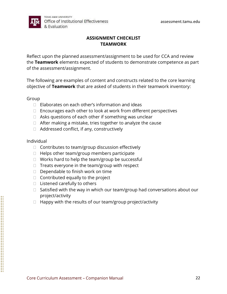![](_page_21_Picture_1.jpeg)

#### **ASSIGNMENT CHECKLIST TEAMWORK**

Reflect upon the planned assessment/assignment to be used for CCA and review the **Teamwork** elements expected of students to demonstrate competence as part of the assessment/assignment.

The following are examples of content and constructs related to the core learning objective of **Teamwork** that are asked of students in their teamwork inventory:

Group

- Elaborates on each other's information and ideas
- Encourages each other to look at work from different perspectives
- Asks questions of each other if something was unclear
- After making a mistake, tries together to analyze the cause
- Addressed conflict, if any, constructively

Individual

- Contributes to team/group discussion effectively
- Helps other team/group members participate
- Works hard to help the team/group be successful
- Treats everyone in the team/group with respect
- Dependable to finish work on time
- Contributed equally to the project
- Listened carefully to others
- Satisfied with the way in which our team/group had conversations about our project/activity
- Happy with the results of our team/group project/activity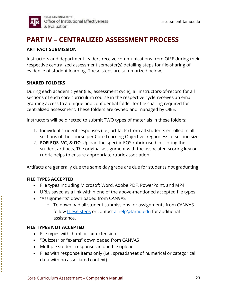![](_page_22_Picture_1.jpeg)

# **PART IV – CENTRALIZED ASSESSMENT PROCESS**

#### **ARTIFACT SUBMISSION**

Instructors and department leaders receive communications from OIEE during their respective centralized assessment semester(s) detailing steps for file-sharing of evidence of student learning. These steps are summarized below.

#### **SHARED FOLDERS**

During each academic year (i.e., assessment cycle), all instructors-of-record for all sections of each core curriculum course in the respective cycle receives an email granting access to a unique and confidential folder for file sharing required for centralized assessment. These folders are owned and managed by OIEE.

Instructors will be directed to submit TWO types of materials in these folders:

- 1. Individual student responses (i.e., artifacts) from all students enrolled in all sections of the course per Core Learning Objective, regardless of section size.
- 2. **FOR EQS, VC, & OC:** Upload the specific EQS rubric used in scoring the student artifacts. The original assignment with the associated scoring key or rubric helps to ensure appropriate rubric association.

Artifacts are generally due the same day grade are due for students not graduating.

#### **FILE TYPES ACCEPTED**

- File types including Microsoft Word, Adobe PDF, PowerPoint, and MP4
- URLs saved as a link within one of the above-mentioned accepted file types.
- "Assignments" downloaded from CANVAS
	- o To download all student submissions for assignments from CANVAS, follow [these steps](https://community.canvaslms.com/t5/Instructor-Guide/How-do-I-download-all-student-submissions-for-an-assignment/ta-p/760) or contact aihelp@tamu.edu for additional assistance.

#### **FILE TYPES NOT ACCEPTED**

- File types with .html or .txt extension
- "Quizzes" or "exams" downloaded from CANVAS
- Multiple student responses in one file upload
- Files with response items only (i.e., spreadsheet of numerical or categorical data with no associated context)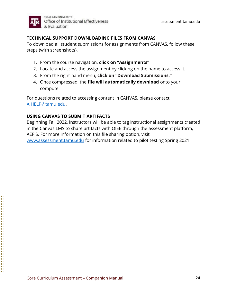![](_page_23_Picture_0.jpeg)

#### **TECHNICAL SUPPORT DOWNLOADING FILES FROM CANVAS**

To download all student submissions for assignments from CANVAS, follow these steps (with screenshots).

- 1. From the course navigation, **click on "Assignments"**
- 2. Locate and access the assignment by clicking on the name to access it.
- 3. From the right-hand menu, **click on "Download Submissions."**
- 4. Once compressed, the **file will automatically download** onto your computer.

For questions related to accessing content in CANVAS, please contact AIHELP@tamu.edu.

## **USING CANVAS TO SUBMIT ARTIFACTS**

Beginning Fall 2022, instructors will be able to tag instructional assignments created in the Canvas LMS to share artifacts with OIEE through the assessment platform, AEFIS. For more information on this file sharing option, visit

[www.assessment.tamu.edu](http://www.assessment.tamu.edu/) for information related to pilot testing Spring 2021.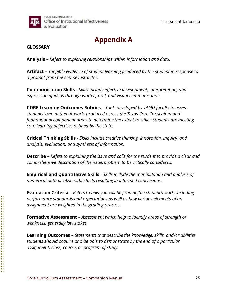![](_page_24_Picture_0.jpeg)

# **Appendix A**

#### **GLOSSARY**

**Analysis** – *Refers to exploring relationships within information and data.*

**Artifact –** *Tangible evidence of student learning produced by the student in response to a prompt from the course instructor.*

**Communication Skills** - *Skills include effective development, interpretation, and expression of ideas through written, oral, and visual communication.*

**CORE Learning Outcomes Rubrics** – *Tools developed by TAMU faculty to assess students' own authentic work, produced across the Texas Core Curriculum and foundational component areas to determine the extent to which students are meeting core learning objectives defined by the state.*

**Critical Thinking Skills** - *Skills include creative thinking, innovation, inquiry, and analysis, evaluation, and synthesis of information.*

**Describe** – *Refers to explaining the issue and calls for the student to provide a clear and comprehensive description of the issue/problem to be critically considered.*

**Empirical and Quantitative Skills** - *Skills include the manipulation and analysis of numerical data or observable facts resulting in informed conclusions.*

**Evaluation Criteria** – *Refers to how you will be grading the student's work, including performance standards and expectations as well as how various elements of an assignment are weighted in the grading process.*

**Formative Assessment** – *Assessment which help to identify areas of strength or weakness; generally low stakes.* 

**Learning Outcomes** – *Statements that describe the knowledge, skills, and/or abilities students should acquire and be able to demonstrate by the end of a particular assignment, class, course, or program of study.*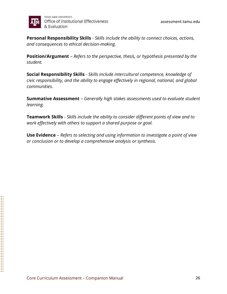![](_page_25_Picture_0.jpeg)

**Personal Responsibility Skills** - *Skills include the ability to connect choices, actions, and consequences to ethical decision-making.*

**Position/Argument** – *Refers to the perspective, thesis, or hypothesis presented by the student.*

**Social Responsibility Skills** - *Skills include intercultural competence, knowledge of civic responsibility, and the ability to engage effectively in regional, national, and global communities.*

**Summative Assessment** – *Generally high stakes assessments used to evaluate student learning.*

**Teamwork Skills** - *Skills include the ability to consider different points of view and to work effectively with others to support a shared purpose or goal.*

**Use Evidence** – *Refers to selecting and using information to investigate a point of view or conclusion or to develop a comprehensive analysis or synthesis.*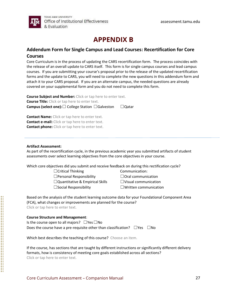# **APPENDIX B**

#### **Addendum Form for Single Campus and Lead Courses: Recertification for Core Courses**

Core Curriculum is in the process of updating the CARS recertification form. The process coincides with the release of an overall update to CARS itself. This form is for single campus courses and lead campus courses. If you are submitting your course's proposal prior to the release of the updated recertification forms and the update to CARS, you will need to complete the new questions in this addendum form and attach it to your CARS proposal. If you are an alternate campus, the needed questions are already covered on your supplemental form and you do not need to complete this form.

| <b>Course Subject and Number:</b> Click or tap here to enter text.  |              |
|---------------------------------------------------------------------|--------------|
| <b>Course Title:</b> Click or tap here to enter text.               |              |
| <b>Campus (select one):</b> $\Box$ College Station $\Box$ Galveston | $\Box$ Qatar |

**Contact Name:** Click or tap here to enter text. **Contact e-mail:** Click or tap here to enter text. **Contact phone:** Click or tap here to enter text.

#### **Artifact Assessment:**

As part of the recertification cycle, in the previous academic year you submitted artifacts of student assessments over select learning objectives from the core objectives in your course.

Which core objectives did you submit and receive feedback on during this rectification cycle?

- $\Box$ Critical Thinking  $\Box$ Communication:
- ☐Personal Responsibility ☐Oral communication
- ☐Quantitative & Empirical Skills ☐Visual communication
- ☐Social Responsibility ☐Written communication

- 
- 
- 

Based on the analysis of the student learning outcome data for your Foundational Component Area (FCA), what changes or improvements are planned for the course? Click or tap here to enter text.

#### **Course Structure and Management**:

Is the course open to all majors?  $□$ Yes $□$ No Does the course have a pre-requisite other than classification?  $□$ Yes  $□$ No

Which best describes the teaching of this course? Choose an item.

If the course, has sections that are taught by different instructions or significantly different delivery formats, how is consistency of meeting core goals established across all sections? Click or tap here to enter text.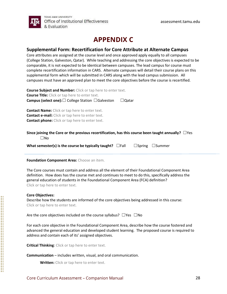![](_page_27_Picture_0.jpeg)

## **APPENDIX C**

#### **Supplemental Form: Recertification for Core Attribute at Alternate Campus**

Core attributes are assigned at the course level and once approved apply equally to all campuses (College Station, Galveston, Qatar). While teaching and addressing the core objectives is expected to be comparable, it is not expected to be identical between campuses. The lead campus for course must complete recertification information in CARS. Alternate campuses will detail their course plans on this supplemental form which will be submitted in CARS along with the lead campus submission. All campuses must have an approved plan to meet the core objectives before the course is recertified.

**Course Subject and Number:** Click or tap here to enter text. **Course Title:** Click or tap here to enter text. **Campus (select one):**☐ College Station ☐Galveston ☐Qatar

**Contact Name:** Click or tap here to enter text. **Contact e-mail:** Click or tap here to enter text. **Contact phone:** Click or tap here to enter text.

#### **Since joining the Core or the previous recertification, has this course been taught annually?** ☐Yes ☐No

**What semester(s) is the course be typically taught?** □Fall □Spring □Summer

#### **Foundation Component Area:** Choose an item.

The Core courses must contain and address all the element of their Foundational Component Area definition. How does has the course met and continues to meet to do this, specifically address the general education of students in the Foundational Component Area (FCA) definition? Click or tap here to enter text.

#### **Core Objectives:**

Describe how the students are informed of the core objectives being addressed in this course: Click or tap here to enter text.

Are the core objectives included on the course syllabus?  $\Box$ Yes  $\Box$ No

For each core objective in the Foundational Component Area, describe how the course fostered and advanced the general education and developed student learning. The proposed course is required to address and contain each of its' assigned objectives.

**Critical Thinking**: Click or tap here to enter text.

**Communication** – includes written, visual, and oral communication.

**Written:** Click or tap here to enter text.